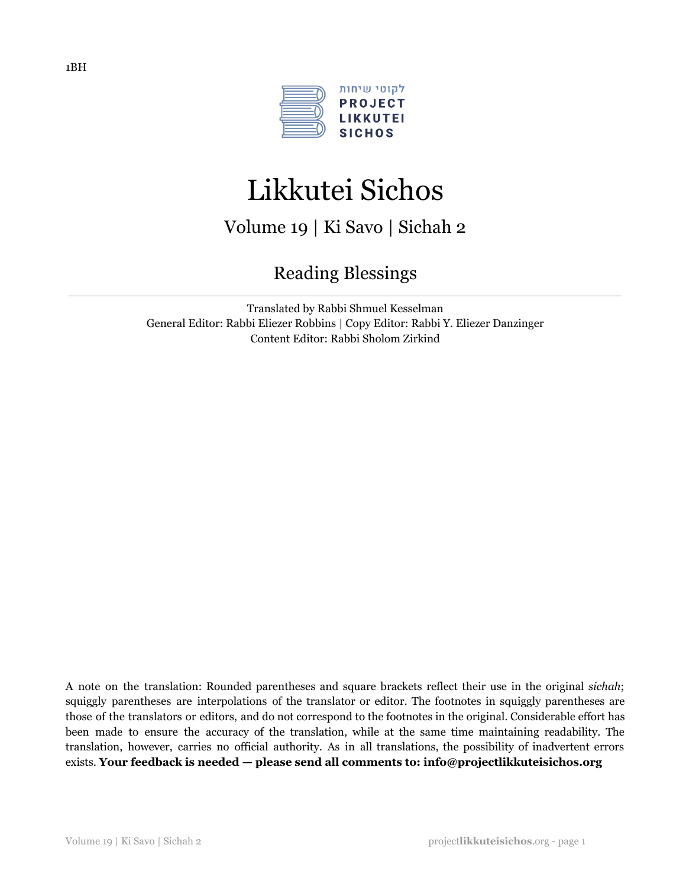

# Likkutei Sichos

Volume 19 | Ki Savo | Sichah 2

## Reading Blessings

Translated by Rabbi Shmuel Kesselman General Editor: Rabbi Eliezer Robbins | Copy Editor: Rabbi Y. Eliezer Danzinger Content Editor: Rabbi Sholom Zirkind

A note on the translation: Rounded parentheses and square brackets reflect their use in the original *sichah*; squiggly parentheses are interpolations of the translator or editor. The footnotes in squiggly parentheses are those of the translators or editors, and do not correspond to the footnotes in the original. Considerable effort has been made to ensure the accuracy of the translation, while at the same time maintaining readability. The translation, however, carries no official authority. As in all translations, the possibility of inadvertent errors exists. **Your feedback is needed — please send all comments to: info@projectlikkuteisichos.org**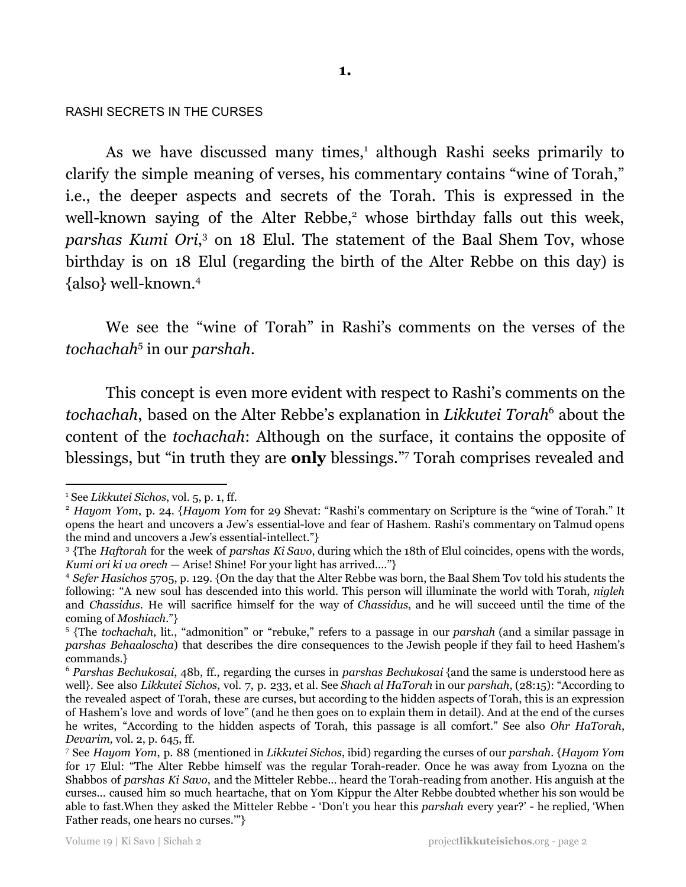## RASHI SECRETS IN THE CURSES

As we have discussed many times,<sup>1</sup> although Rashi seeks primarily to clarify the simple meaning of verses, his commentary contains "wine of Torah," i.e., the deeper aspects and secrets of the Torah. This is expressed in the well-known saying of the Alter Rebbe,<sup>2</sup> whose birthday falls out this week, parshas Kumi Ori,<sup>3</sup> on 18 Elul. The statement of the Baal Shem Tov, whose birthday is on 18 Elul (regarding the birth of the Alter Rebbe on this day) is {also} well-known. 4

We see the "wine of Torah" in Rashi's comments on the verses of the tochachah<sup>5</sup> in our *parshah*.

This concept is even more evident with respect to Rashi's comments on the tochachah, based on the Alter Rebbe's explanation in *Likkutei Torah*<sup>6</sup> about the content of the *tochachah*: Although on the surface, it contains the opposite of blessings, but "in truth they are **only** blessings."<sup>7</sup> Torah comprises revealed and

<sup>1</sup> See *Likkutei Sichos*, vol. 5, p. 1, ff.

<sup>2</sup> *Hayom Yom*, p. 24. {*Hayom Yom* for 29 Shevat: "Rashi's commentary on Scripture is the "wine of Torah." It opens the heart and uncovers a Jew's essential-love and fear of Hashem. Rashi's commentary on Talmud opens the mind and uncovers a Jew's essential-intellect."}

<sup>3</sup> {The *Haftorah* for the week of *parshas Ki Savo*, during which the 18th of Elul coincides, opens with the words, *Kumi ori ki va orech* — Arise! Shine! For your light has arrived…."}

<sup>4</sup> *Sefer Hasichos* 5705, p. 129. {On the day that the Alter Rebbe was born, the Baal Shem Tov told his students the following: "A new soul has descended into this world. This person will illuminate the world with Torah, *nigleh* and *Chassidus*. He will sacrifice himself for the way of *Chassidus*, and he will succeed until the time of the coming of *Moshiach*."}

<sup>5</sup> {The *tochachah*, lit., "admonition" or "rebuke," refers to a passage in our *parshah* (and a similar passage in *parshas Behaaloscha*) that describes the dire consequences to the Jewish people if they fail to heed Hashem's commands.}

<sup>6</sup> *Parshas Bechukosai*, 48b, ff., regarding the curses in *parshas Bechukosai* {and the same is understood here as well}. See also *Likkutei Sichos*, vol. 7, p. 233, et al. See *Shach al HaTorah* in our *parshah*, (28:15): "According to the revealed aspect of Torah, these are curses, but according to the hidden aspects of Torah, this is an expression of Hashem's love and words of love" (and he then goes on to explain them in detail). And at the end of the curses he writes, "According to the hidden aspects of Torah, this passage is all comfort." See also *Ohr HaTorah*, *Devarim,* vol. 2, p. 645, ff.

<sup>7</sup> See *Hayom Yom*, p. 88 (mentioned in *Likkutei Sichos*, ibid) regarding the curses of our *parshah*. {*Hayom Yom* for 17 Elul: "The Alter Rebbe himself was the regular Torah-reader. Once he was away from Lyozna on the Shabbos of *parshas Ki Savo*, and the Mitteler Rebbe... heard the Torah-reading from another. His anguish at the curses... caused him so much heartache, that on Yom Kippur the Alter Rebbe doubted whether his son would be able to fast.When they asked the Mitteler Rebbe - 'Don't you hear this *parshah* every year?' - he replied, 'When Father reads, one hears no curses.'"}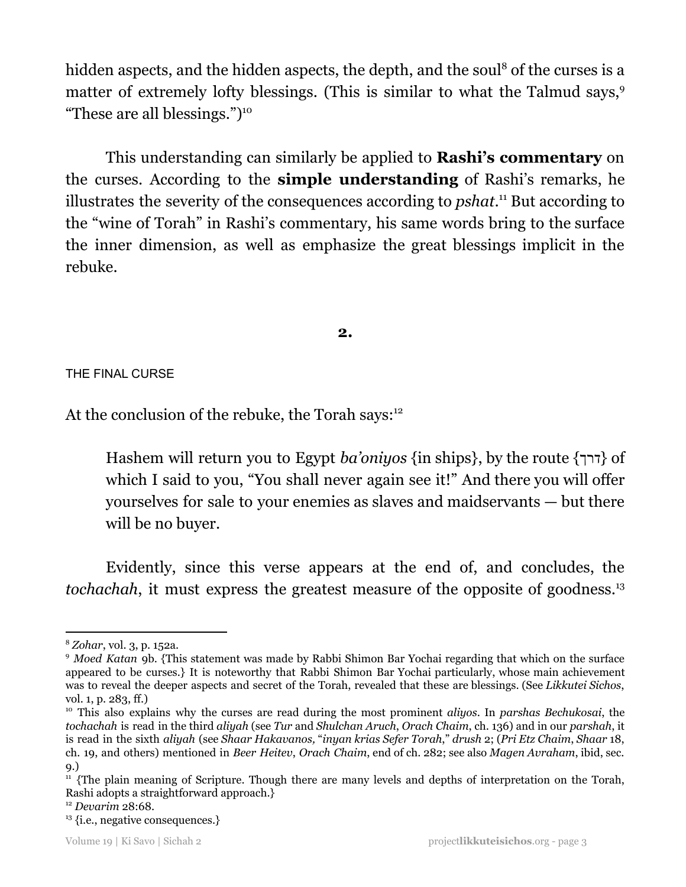hidden aspects, and the hidden aspects, the depth, and the soul<sup>8</sup> of the curses is a matter of extremely lofty blessings. (This is similar to what the Talmud says,<sup>9</sup> "These are all blessings.")<sup>10</sup>

This understanding can similarly be applied to **Rashi's commentary** on the curses. According to the **simple understanding** of Rashi's remarks, he illustrates the severity of the consequences according to *pshat*.<sup>11</sup> But according to the "wine of Torah" in Rashi's commentary, his same words bring to the surface the inner dimension, as well as emphasize the great blessings implicit in the rebuke.

## **2.**

THE FINAL CURSE

At the conclusion of the rebuke, the Torah says:<sup>12</sup>

Hashem will return you to Egypt *ba'oniyos* {in ships}, by the route { $\tau$ } of which I said to you, "You shall never again see it!" And there you will offer yourselves for sale to your enemies as slaves and maidservants — but there will be no buyer.

Evidently, since this verse appears at the end of, and concludes, the tochachah, it must express the greatest measure of the opposite of goodness.<sup>13</sup>

<sup>8</sup> *Zohar*, vol. 3, p. 152a.

<sup>9</sup> *Moed Katan* 9b. {This statement was made by Rabbi Shimon Bar Yochai regarding that which on the surface appeared to be curses.} It is noteworthy that Rabbi Shimon Bar Yochai particularly, whose main achievement was to reveal the deeper aspects and secret of the Torah, revealed that these are blessings. (See *Likkutei Sichos*, vol. 1, p. 283, ff.)

<sup>10</sup> This also explains why the curses are read during the most prominent *aliyos*. In *parshas Bechukosai*, the *tochachah* is read in the third *aliyah* (see *Tur* and *Shulchan Aruch*, *Orach Chaim*, ch. 136) and in our *parshah*, it is read in the sixth *aliyah* (see *Shaar Hakavanos,* "*inyan krias Sefer Torah*," *drush* 2; (*Pri Etz Chaim*, *Shaar* 18, ch. 19, and others) mentioned in *Beer Heitev*, *Orach Chaim*, end of ch. 282; see also *Magen Avraham*, ibid, sec. 9.)

<sup>&</sup>lt;sup>11</sup> {The plain meaning of Scripture. Though there are many levels and depths of interpretation on the Torah, Rashi adopts a straightforward approach.}

<sup>12</sup> *Devarim* 28:68.

<sup>&</sup>lt;sup>13</sup> {i.e., negative consequences.}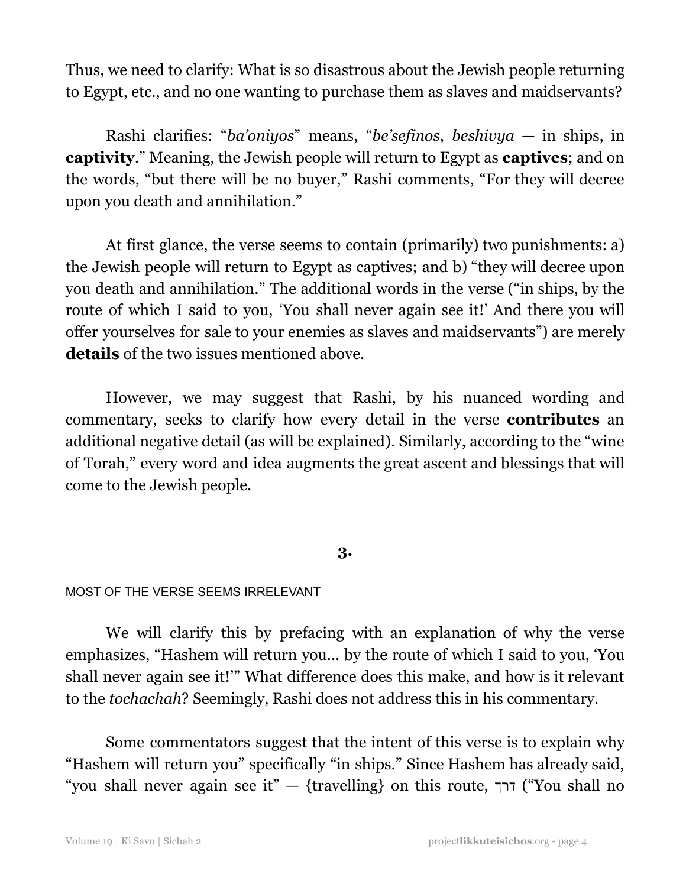Thus, we need to clarify: What is so disastrous about the Jewish people returning to Egypt, etc., and no one wanting to purchase them as slaves and maidservants?

Rashi clarifies: "*ba'oniyos*" means, "*be'sefinos*, *beshivya* — in ships, in **captivity**." Meaning, the Jewish people will return to Egypt as **captives**; and on the words, "but there will be no buyer," Rashi comments, "For they will decree upon you death and annihilation."

At first glance, the verse seems to contain (primarily) two punishments: a) the Jewish people will return to Egypt as captives; and b) "they will decree upon you death and annihilation." The additional words in the verse ("in ships, by the route of which I said to you, 'You shall never again see it!' And there you will offer yourselves for sale to your enemies as slaves and maidservants") are merely **details** of the two issues mentioned above.

However, we may suggest that Rashi, by his nuanced wording and commentary, seeks to clarify how every detail in the verse **contributes** an additional negative detail (as will be explained). Similarly, according to the "wine of Torah," every word and idea augments the great ascent and blessings that will come to the Jewish people.

## **3.**

## MOST OF THE VERSE SEEMS IRRELEVANT

We will clarify this by prefacing with an explanation of why the verse emphasizes, "Hashem will return you... by the route of which I said to you, 'You shall never again see it!'" What difference does this make, and how is it relevant to the *tochachah*? Seemingly, Rashi does not address this in his commentary.

Some commentators suggest that the intent of this verse is to explain why "Hashem will return you" specifically "in ships." Since Hashem has already said, "you shall never again see it" — {travelling} on this route, דרך") You shall no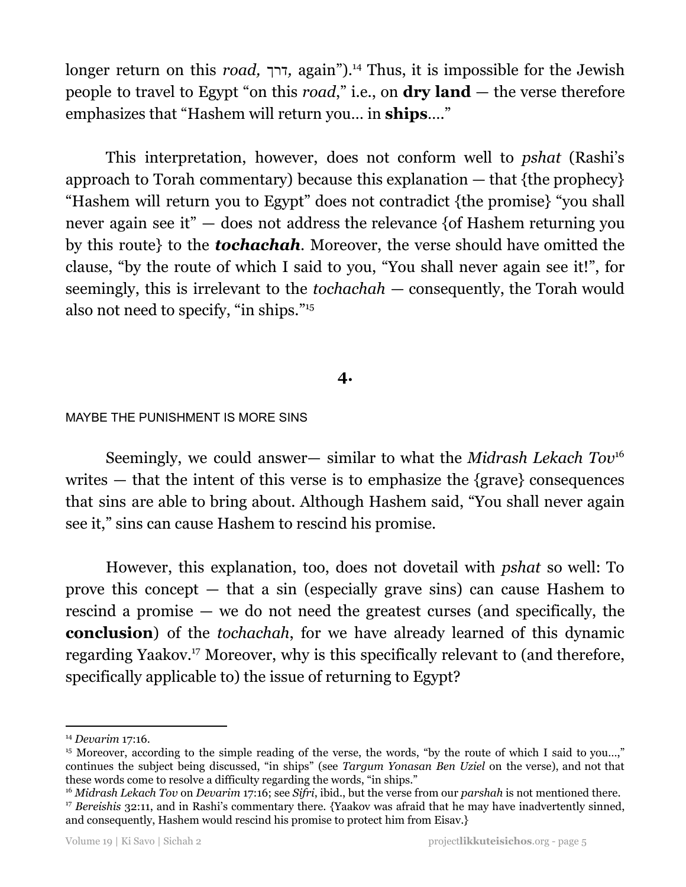longer return on this *road*, דרך, again").<sup>14</sup> Thus, it is impossible for the Jewish people to travel to Egypt "on this *road*," i.e., on **dry land** — the verse therefore emphasizes that "Hashem will return you… in **ships**…."

This interpretation, however, does not conform well to *pshat* (Rashi's approach to Torah commentary) because this explanation  $-$  that {the prophecy} "Hashem will return you to Egypt" does not contradict {the promise} "you shall never again see it" — does not address the relevance {of Hashem returning you by this route} to the *tochachah*. Moreover, the verse should have omitted the clause, "by the route of which I said to you, "You shall never again see it!", for seemingly, this is irrelevant to the *tochachah* — consequently, the Torah would also not need to specify, "in ships." 15

## **4.**

## MAYBE THE PUNISHMENT IS MORE SINS

Seemingly, we could answer— similar to what the *Midrash Lekach Tov* 16 writes  $-$  that the intent of this verse is to emphasize the {grave} consequences that sins are able to bring about. Although Hashem said, "You shall never again see it," sins can cause Hashem to rescind his promise.

However, this explanation, too, does not dovetail with *pshat* so well: To prove this concept — that a sin (especially grave sins) can cause Hashem to rescind a promise — we do not need the greatest curses (and specifically, the **conclusion**) of the *tochachah*, for we have already learned of this dynamic regarding Yaakov.<sup>17</sup> Moreover, why is this specifically relevant to (and therefore, specifically applicable to) the issue of returning to Egypt?

<sup>14</sup> *Devarim* 17:16.

<sup>&</sup>lt;sup>15</sup> Moreover, according to the simple reading of the verse, the words, "by the route of which I said to you...," continues the subject being discussed, "in ships" (see *Targum Yonasan Ben Uziel* on the verse), and not that these words come to resolve a difficulty regarding the words, "in ships."

<sup>&</sup>lt;sup>17</sup> *Bereishis* 32:11, and in Rashi's commentary there. {Yaakov was afraid that he may have inadvertently sinned, and consequently, Hashem would rescind his promise to protect him from Eisav.} <sup>16</sup> *Midrash Lekach Tov* on *Devarim* 17:16; see *Sifri*, ibid., but the verse from our *parshah* is not mentioned there.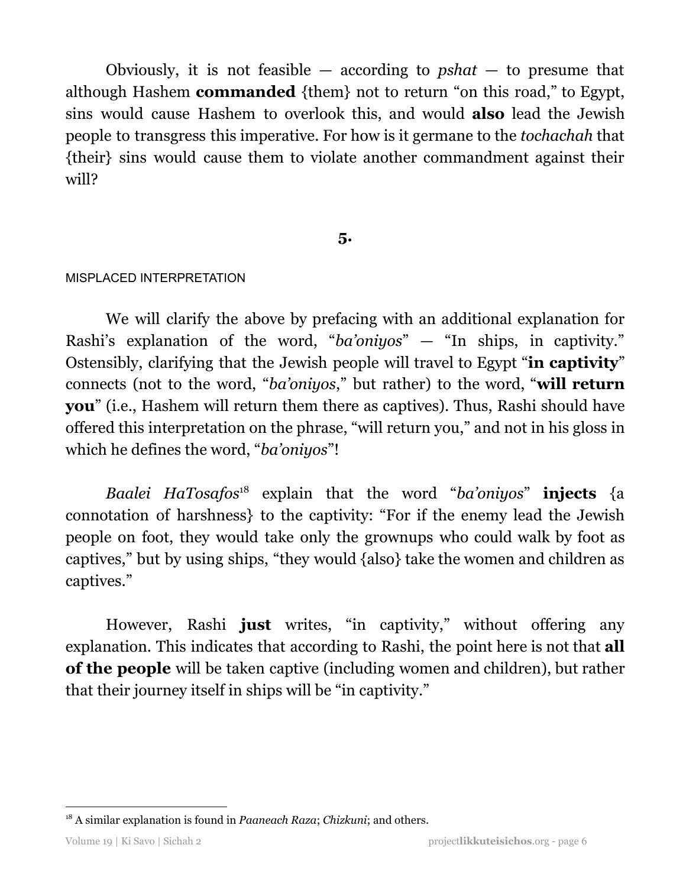Obviously, it is not feasible — according to *pshat* — to presume that although Hashem **commanded** {them} not to return "on this road," to Egypt, sins would cause Hashem to overlook this, and would **also** lead the Jewish people to transgress this imperative. For how is it germane to the *tochachah* that {their} sins would cause them to violate another commandment against their will?

## **5.**

#### MISPLACED INTERPRETATION

We will clarify the above by prefacing with an additional explanation for Rashi's explanation of the word, "*ba'oniyos*" — "In ships, in captivity." Ostensibly, clarifying that the Jewish people will travel to Egypt "**in captivity**" connects (not to the word, "*ba'oniyos*," but rather) to the word, "**will return you**" (i.e., Hashem will return them there as captives). Thus, Rashi should have offered this interpretation on the phrase, "will return you," and not in his gloss in which he defines the word, "*ba'oniyos*"!

*Baalei HaTosafos*<sup>18</sup> explain that the word "*ba'oniyos*" **injects** {a connotation of harshness} to the captivity: "For if the enemy lead the Jewish people on foot, they would take only the grownups who could walk by foot as captives," but by using ships, "they would {also} take the women and children as captives."

However, Rashi **just** writes, "in captivity," without offering any explanation. This indicates that according to Rashi, the point here is not that **all of the people** will be taken captive (including women and children), but rather that their journey itself in ships will be "in captivity."

<sup>18</sup> A similar explanation is found in *Paaneach Raza*; *Chizkuni*; and others.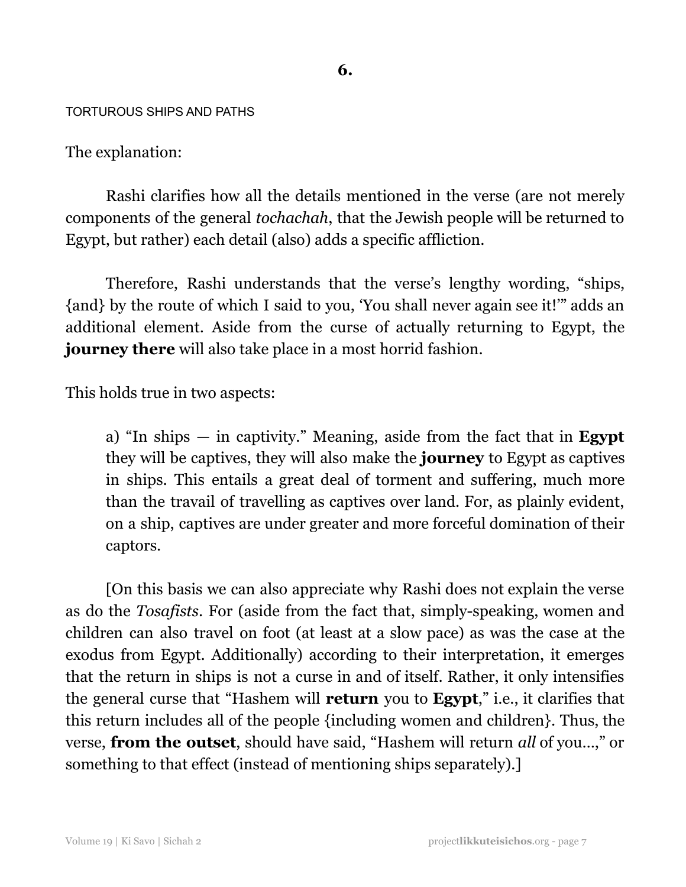#### TORTUROUS SHIPS AND PATHS

The explanation:

Rashi clarifies how all the details mentioned in the verse (are not merely components of the general *tochachah*, that the Jewish people will be returned to Egypt, but rather) each detail (also) adds a specific affliction.

Therefore, Rashi understands that the verse's lengthy wording, "ships, {and} by the route of which I said to you, 'You shall never again see it!'" adds an additional element. Aside from the curse of actually returning to Egypt, the **journey there** will also take place in a most horrid fashion.

This holds true in two aspects:

a) "In ships — in captivity." Meaning, aside from the fact that in **Egypt** they will be captives, they will also make the **journey** to Egypt as captives in ships. This entails a great deal of torment and suffering, much more than the travail of travelling as captives over land. For, as plainly evident, on a ship, captives are under greater and more forceful domination of their captors.

[On this basis we can also appreciate why Rashi does not explain the verse as do the *Tosafists*. For (aside from the fact that, simply-speaking, women and children can also travel on foot (at least at a slow pace) as was the case at the exodus from Egypt. Additionally) according to their interpretation, it emerges that the return in ships is not a curse in and of itself. Rather, it only intensifies the general curse that "Hashem will **return** you to **Egypt**," i.e., it clarifies that this return includes all of the people {including women and children}. Thus, the verse, **from the outset**, should have said, "Hashem will return *all* of you…," or something to that effect (instead of mentioning ships separately).]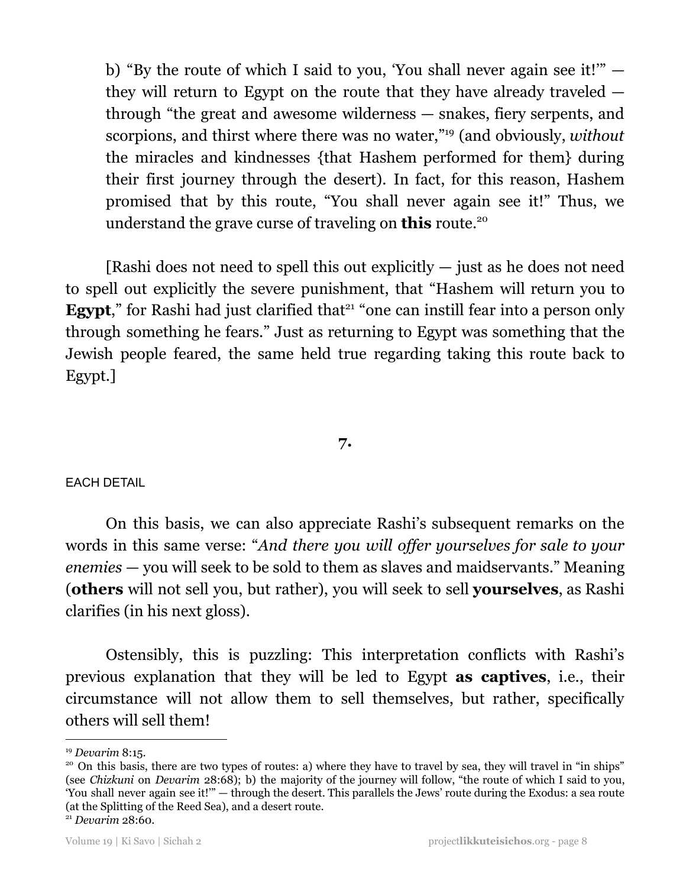b) "By the route of which I said to you, 'You shall never again see it!'" they will return to Egypt on the route that they have already traveled through "the great and awesome wilderness — snakes, fiery serpents, and scorpions, and thirst where there was no water,"<sup>19</sup> (and obviously, *without* the miracles and kindnesses {that Hashem performed for them} during their first journey through the desert). In fact, for this reason, Hashem promised that by this route, "You shall never again see it!" Thus, we understand the grave curse of traveling on **this** route. 20

[Rashi does not need to spell this out explicitly  $-$  just as he does not need to spell out explicitly the severe punishment, that "Hashem will return you to **Egypt**," for Rashi had just clarified that<sup>21</sup> "one can instill fear into a person only through something he fears." Just as returning to Egypt was something that the Jewish people feared, the same held true regarding taking this route back to Egypt.]

#### **7.**

## EACH DETAIL

On this basis, we can also appreciate Rashi's subsequent remarks on the words in this same verse: "*And there you will of er yourselves for sale to your enemies* — you will seek to be sold to them as slaves and maidservants." Meaning (**others** will not sell you, but rather), you will seek to sell **yourselves**, as Rashi clarifies (in his next gloss).

Ostensibly, this is puzzling: This interpretation conflicts with Rashi's previous explanation that they will be led to Egypt **as captives**, i.e., their circumstance will not allow them to sell themselves, but rather, specifically others will sell them!

<sup>19</sup> *Devarim* 8:15.

<sup>&</sup>lt;sup>20</sup> On this basis, there are two types of routes: a) where they have to travel by sea, they will travel in "in ships" (see *Chizkuni* on *Devarim* 28:68); b) the majority of the journey will follow, "the route of which I said to you, 'You shall never again see it!'" — through the desert. This parallels the Jews' route during the Exodus: a sea route (at the Splitting of the Reed Sea), and a desert route.

<sup>21</sup> *Devarim* 28:60.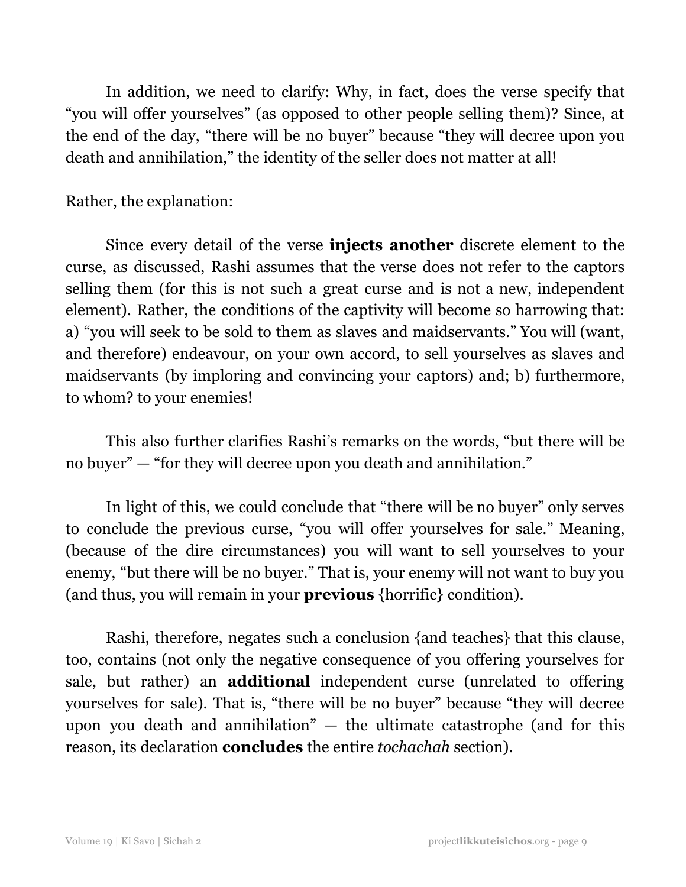In addition, we need to clarify: Why, in fact, does the verse specify that "you will offer yourselves" (as opposed to other people selling them)? Since, at the end of the day, "there will be no buyer" because "they will decree upon you death and annihilation," the identity of the seller does not matter at all!

## Rather, the explanation:

Since every detail of the verse **injects another** discrete element to the curse, as discussed, Rashi assumes that the verse does not refer to the captors selling them (for this is not such a great curse and is not a new, independent element). Rather, the conditions of the captivity will become so harrowing that: a) "you will seek to be sold to them as slaves and maidservants." You will (want, and therefore) endeavour, on your own accord, to sell yourselves as slaves and maidservants (by imploring and convincing your captors) and; b) furthermore, to whom? to your enemies!

This also further clarifies Rashi's remarks on the words, "but there will be no buyer" — "for they will decree upon you death and annihilation."

In light of this, we could conclude that "there will be no buyer" only serves to conclude the previous curse, "you will offer yourselves for sale." Meaning, (because of the dire circumstances) you will want to sell yourselves to your enemy, "but there will be no buyer." That is, your enemy will not want to buy you (and thus, you will remain in your **previous** {horrific} condition).

Rashi, therefore, negates such a conclusion {and teaches} that this clause, too, contains (not only the negative consequence of you offering yourselves for sale, but rather) an **additional** independent curse (unrelated to offering yourselves for sale). That is, "there will be no buyer" because "they will decree upon you death and annihilation" — the ultimate catastrophe (and for this reason, its declaration **concludes** the entire *tochachah* section).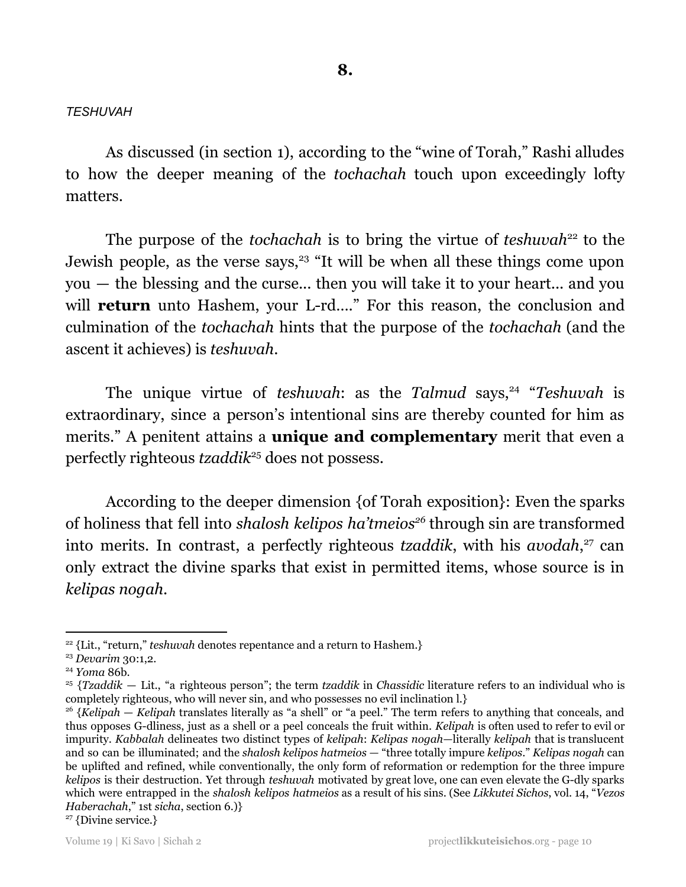#### *TESHUVAH*

As discussed (in section 1), according to the "wine of Torah," Rashi alludes to how the deeper meaning of the *tochachah* touch upon exceedingly lofty matters.

The purpose of the *tochachah* is to bring the virtue of *teshuvah*<sup>22</sup> to the Jewish people, as the verse says,<sup>23</sup> "It will be when all these things come upon you — the blessing and the curse... then you will take it to your heart... and you will **return** unto Hashem, your L-rd...." For this reason, the conclusion and culmination of the *tochachah* hints that the purpose of the *tochachah* (and the ascent it achieves) is *teshuvah*.

The unique virtue of *teshuvah*: as the *Talmud* says,<sup>24</sup> "Teshuvah is extraordinary, since a person's intentional sins are thereby counted for him as merits." A penitent attains a **unique and complementary** merit that even a perfectly righteous *tzaddik*<sup>25</sup> does not possess.

According to the deeper dimension {of Torah exposition}: Even the sparks of holiness that fell into *shalosh kelipos ha'tmeios<sup>26</sup>* through sin are transformed into merits. In contrast, a perfectly righteous *tzaddik*, with his *avodah*,<sup>27</sup> can only extract the divine sparks that exist in permitted items, whose source is in *kelipas nogah*.

<sup>&</sup>lt;sup>22</sup> {Lit., "return," *teshuvah* denotes repentance and a return to Hashem.}

<sup>23</sup> *Devarim* 30:1,2.

<sup>24</sup> *Yoma* 86b.

<sup>25</sup> {*Tzaddik* — Lit., "a righteous person"; the term *tzaddik* in *Chassidic* literature refers to an individual who is completely righteous, who will never sin, and who possesses no evil inclination l.}

<sup>26</sup> {*Kelipah* — *Kelipah* translates literally as "a shell" or "a peel." The term refers to anything that conceals, and thus opposes G-dliness, just as a shell or a peel conceals the fruit within. *Kelipah* is often used to refer to evil or impurity. *Kabbalah* delineates two distinct types of *kelipah*: *Kelipas nogah*—literally *kelipah* that is translucent and so can be illuminated; and the *shalosh kelipos hatmeios —* "three totally impure *kelipos*." *Kelipas nogah* can be uplifted and refined, while conventionally, the only form of reformation or redemption for the three impure *kelipos* is their destruction. Yet through *teshuvah* motivated by great love, one can even elevate the G-dly sparks which were entrapped in the *shalosh kelipos hatmeios* as a result of his sins. (See *Likkutei Sichos*, vol. 14, "*Vezos Haberachah*," 1st *sicha*, section 6.)}

<sup>&</sup>lt;sup>27</sup> {Divine service.}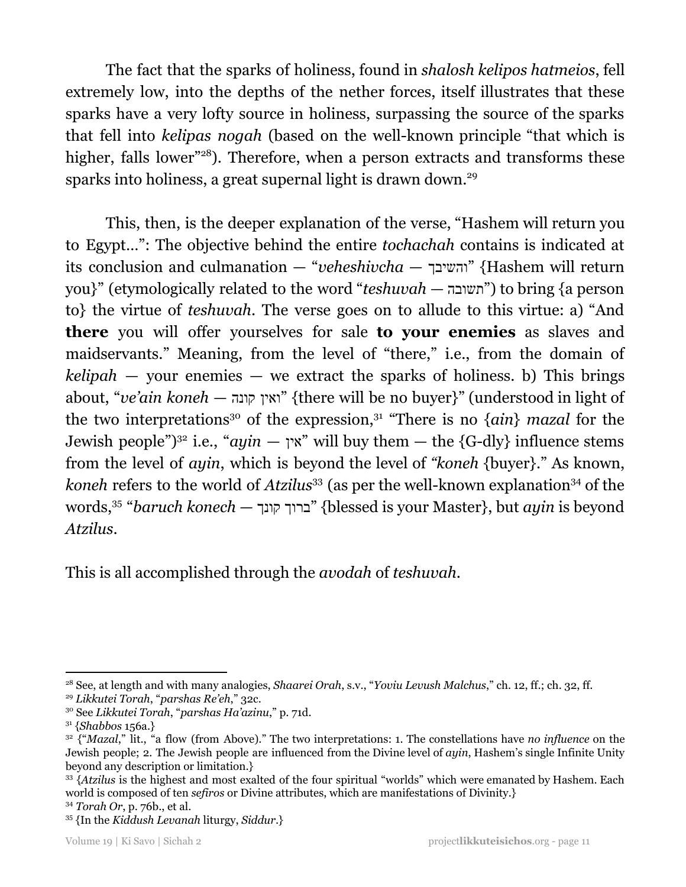The fact that the sparks of holiness, found in *shalosh kelipos hatmeios*, fell extremely low, into the depths of the nether forces, itself illustrates that these sparks have a very lofty source in holiness, surpassing the source of the sparks that fell into *kelipas nogah* (based on the well-known principle "that which is higher, falls lower"<sup>28</sup>). Therefore, when a person extracts and transforms these sparks into holiness, a great supernal light is drawn down.<sup>29</sup>

This, then, is the deeper explanation of the verse, "Hashem will return you to Egypt…": The objective behind the entire *tochachah* contains is indicated at its conclusion and culmanation — "*veheshivcha* — והשיבך} "Hashem will return you}" (etymologically related to the word "*teshuvah* — "תשובה") to bring {a person to} the virtue of *teshuvah*. The verse goes on to allude to this virtue: a) "And **there** you will offer yourselves for sale **to your enemies** as slaves and maidservants." Meaning, from the level of "there," i.e., from the domain of  $kelipah$  — your enemies — we extract the sparks of holiness. b) This brings about, "*ve'ain koneh* — קונה ואין} "there will be no buyer}" (understood in light of the two interpretations<sup>30</sup> of the expression,<sup>31</sup> "There is no  $\{\alpha in\}$  mazal for the Jewish people<sup>")<sup>32</sup> i.e., "*ayin* — "אין "will buy them — the {G-dly} influence stems</sup> from the level of *ayin*, which is beyond the level of *"koneh* {buyer}." As known, koneh refers to the world of *Atzilus*<sup>33</sup> (as per the well-known explanation<sup>34</sup> of the words, "*baruch konech* — קונך ברוך} "blessed is your Master}, but *ayin* is beyond 35 *Atzilus*.

This is all accomplished through the *avodah* of *teshuvah*.

<sup>28</sup> See, at length and with many analogies, *Shaarei Orah*, s.v., "*Yoviu Levush Malchus*," ch. 12, ff.; ch. 32, ff.

<sup>29</sup> *Likkutei Torah*, "*parshas Re'eh*," 32c.

<sup>30</sup> See *Likkutei Torah*, "*parshas Ha'azinu*," p. 71d.

<sup>31</sup> {*Shabbos* 156a.}

<sup>32</sup> {"*Mazal*," lit., "a flow (from Above)." The two interpretations: 1. The constellations have *no influence* on the Jewish people; 2. The Jewish people are influenced from the Divine level of *ayin*, Hashem's single Infinite Unity beyond any description or limitation.}

<sup>34</sup> *Torah Or*, p. 76b., et al. <sup>33</sup> {Atzilus is the highest and most exalted of the four spiritual "worlds" which were emanated by Hashem. Each world is composed of ten *sefiros* or Divine attributes, which are manifestations of Divinity.}

<sup>35</sup> {In the *Kiddush Levanah* liturgy, *Siddur*.}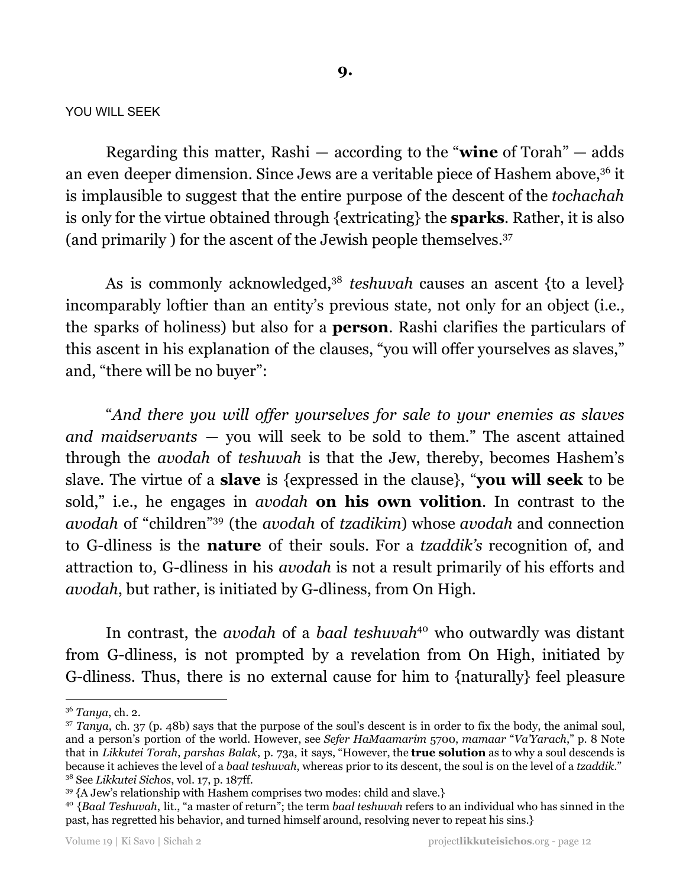#### YOU WILL SEEK

Regarding this matter, Rashi — according to the "**wine** of Torah" — adds an even deeper dimension. Since Jews are a veritable piece of Hashem above,<sup>36</sup> it is implausible to suggest that the entire purpose of the descent of the *tochachah* is only for the virtue obtained through {extricating} the **sparks**. Rather, it is also (and primarily ) for the ascent of the Jewish people themselves. 37

As is commonly acknowledged,<sup>38</sup> teshuvah causes an ascent {to a level} incomparably loftier than an entity's previous state, not only for an object (i.e., the sparks of holiness) but also for a **person**. Rashi clarifies the particulars of this ascent in his explanation of the clauses, "you will offer yourselves as slaves," and, "there will be no buyer":

"*And there you will of er yourselves for sale to your enemies as slaves and maidservants* — you will seek to be sold to them." The ascent attained through the *avodah* of *teshuvah* is that the Jew, thereby, becomes Hashem's slave. The virtue of a **slave** is {expressed in the clause}, "**you will seek** to be sold," i.e., he engages in *avodah* **on his own volition**. In contrast to the avodah of "children"<sup>39</sup> (the *avodah* of *tzadikim*) whose *avodah* and connection to G-dliness is the **nature** of their souls. For a *tzaddik's* recognition of, and attraction to, G-dliness in his *avodah* is not a result primarily of his efforts and *avodah*, but rather, is initiated by G-dliness, from On High.

In contrast, the *avodah* of a *baal teshuvah*<sup>40</sup> who outwardly was distant from G-dliness, is not prompted by a revelation from On High, initiated by G-dliness. Thus, there is no external cause for him to {naturally} feel pleasure

<sup>36</sup> *Tanya*, ch. 2.

<sup>38</sup> See *Likkutei Sichos*, vol. 17, p. 187ff. <sup>37</sup> *Tanya*, ch. 37 (p. 48b) says that the purpose of the soul's descent is in order to fix the body, the animal soul, and a person's portion of the world. However, see *Sefer HaMaamarim* 5700, *mamaar* "*Va'Yarach*," p. 8 Note that in *Likkutei Torah*, *parshas Balak*, p. 73a, it says, "However, the **true solution** as to why a soul descends is because it achieves the level of a *baal teshuvah*, whereas prior to its descent, the soul is on the level of a *tzaddik*."

<sup>&</sup>lt;sup>39</sup> {A Jew's relationship with Hashem comprises two modes: child and slave.}

<sup>40</sup> {*Baal Teshuvah*, lit., "a master of return"; the term *baal teshuvah* refers to an individual who has sinned in the past, has regretted his behavior, and turned himself around, resolving never to repeat his sins.}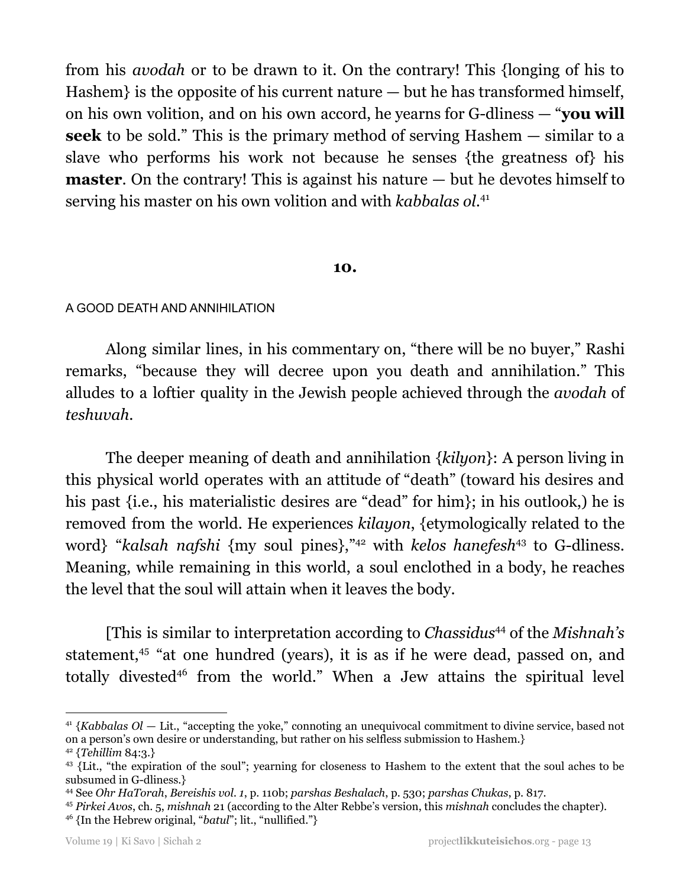from his *avodah* or to be drawn to it. On the contrary! This {longing of his to Hashem} is the opposite of his current nature — but he has transformed himself, on his own volition, and on his own accord, he yearns for G-dliness — "**you will seek** to be sold." This is the primary method of serving Hashem — similar to a slave who performs his work not because he senses {the greatness of} his **master**. On the contrary! This is against his nature — but he devotes himself to serving his master on his own volition and with *kabbalas ol*. 41

#### **10.**

#### A GOOD DEATH AND ANNIHILATION

Along similar lines, in his commentary on, "there will be no buyer," Rashi remarks, "because they will decree upon you death and annihilation." This alludes to a loftier quality in the Jewish people achieved through the *avodah* of *teshuvah*.

The deeper meaning of death and annihilation {*kilyon*}: A person living in this physical world operates with an attitude of "death" (toward his desires and his past {i.e., his materialistic desires are "dead" for him}; in his outlook,) he is removed from the world. He experiences *kilayon*, {etymologically related to the word} "kalsah nafshi {my soul pines},"<sup>42</sup> with *kelos hanefesh*<sup>43</sup> to G-dliness. Meaning, while remaining in this world, a soul enclothed in a body, he reaches the level that the soul will attain when it leaves the body.

[This is similar to interpretation according to *Chassidus<sup>44</sup>* of the *Mishnah's* statement,<sup>45</sup> "at one hundred (years), it is as if he were dead, passed on, and totally divested<sup>46</sup> from the world." When a Jew attains the spiritual level

<sup>41</sup> {*Kabbalas Ol* — Lit., "accepting the yoke," connoting an unequivocal commitment to divine service, based not on a person's own desire or understanding, but rather on his selfless submission to Hashem.}

<sup>42</sup> {*Tehillim* 84:3.}

<sup>&</sup>lt;sup>43</sup> {Lit., "the expiration of the soul"; yearning for closeness to Hashem to the extent that the soul aches to be subsumed in G-dliness.}

<sup>44</sup> See *Ohr HaTorah*, *Bereishis vol. 1*, p. 110b; *parshas Beshalach*, p. 530; *parshas Chukas*, p. 817.

<sup>46</sup> {In the Hebrew original, "*batul*"; lit., "nullified."} <sup>45</sup> *Pirkei Avos*, ch. 5, *mishnah* 21 (according to the Alter Rebbe's version, this *mishnah* concludes the chapter).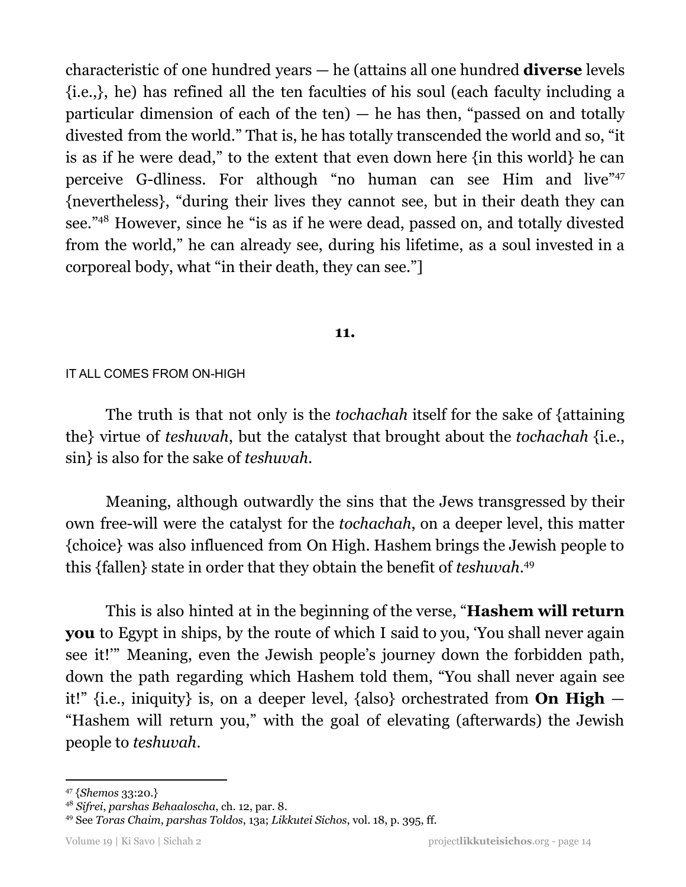characteristic of one hundred years — he (attains all one hundred **diverse** levels {i.e.,}, he) has refined all the ten faculties of his soul (each faculty including a particular dimension of each of the ten)  $-$  he has then, "passed on and totally divested from the world." That is, he has totally transcended the world and so, "it is as if he were dead," to the extent that even down here {in this world} he can perceive G-dliness. For although "no human can see Him and live"<sup>47</sup> {nevertheless}, "during their lives they cannot see, but in their death they can see."<sup>48</sup> However, since he "is as if he were dead, passed on, and totally divested from the world," he can already see, during his lifetime, as a soul invested in a corporeal body, what "in their death, they can see."]

## **11.**

## IT ALL COMES FROM ON-HIGH

The truth is that not only is the *tochachah* itself for the sake of {attaining the} virtue of *teshuvah*, but the catalyst that brought about the *tochachah* {i.e., sin} is also for the sake of *teshuvah*.

Meaning, although outwardly the sins that the Jews transgressed by their own free-will were the catalyst for the *tochachah*, on a deeper level, this matter {choice} was also influenced from On High. Hashem brings the Jewish people to this {fallen} state in order that they obtain the benefit of *teshuvah*. 49

This is also hinted at in the beginning of the verse, "**Hashem will return you** to Egypt in ships, by the route of which I said to you, 'You shall never again see it!'" Meaning, even the Jewish people's journey down the forbidden path, down the path regarding which Hashem told them, "You shall never again see it!" {i.e., iniquity} is, on a deeper level, {also} orchestrated from **On High** — "Hashem will return you," with the goal of elevating (afterwards) the Jewish people to *teshuvah*.

<sup>47</sup> {*Shemos* 33:20.}

<sup>48</sup> *Sifrei*, *parshas Behaaloscha*, ch. 12, par. 8.

<sup>49</sup> See *Toras Chaim*, *parshas Toldos*, 13a; *Likkutei Sichos*, vol. 18, p. 395, ff.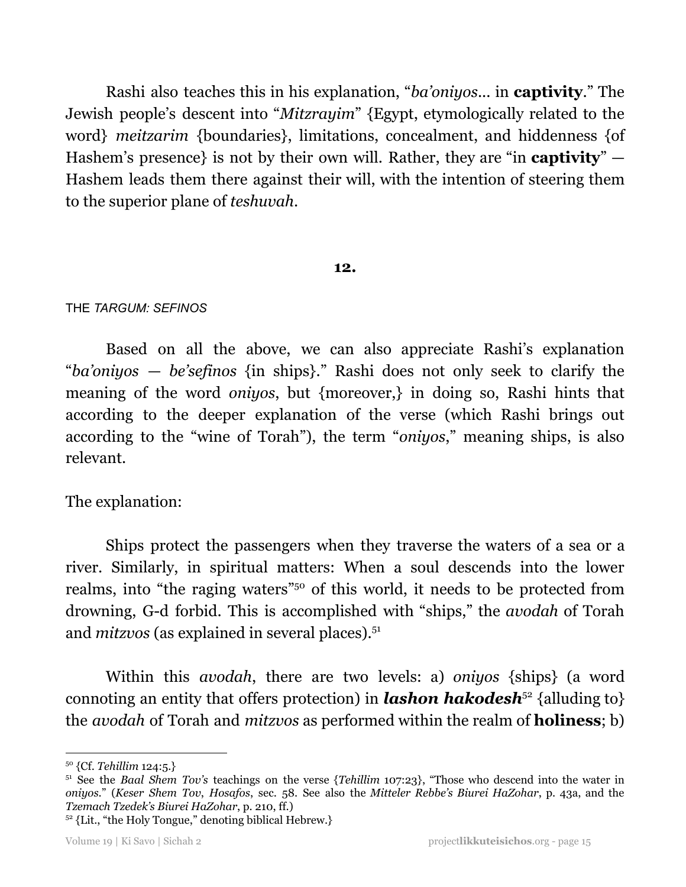Rashi also teaches this in his explanation, "*ba'oniyos*... in **captivity**." The Jewish people's descent into "*Mitzrayim*" {Egypt, etymologically related to the word} *meitzarim* {boundaries}, limitations, concealment, and hiddenness {of Hashem's presence} is not by their own will. Rather, they are "in **captivity**" — Hashem leads them there against their will, with the intention of steering them to the superior plane of *teshuvah*.

## **12.**

## THE *TARGUM: SEFINOS*

Based on all the above, we can also appreciate Rashi's explanation "*ba'oniyos* — *be'sefinos* {in ships}." Rashi does not only seek to clarify the meaning of the word *oniyos*, but {moreover,} in doing so, Rashi hints that according to the deeper explanation of the verse (which Rashi brings out according to the "wine of Torah"), the term "*oniyos*," meaning ships, is also relevant.

The explanation:

Ships protect the passengers when they traverse the waters of a sea or a river. Similarly, in spiritual matters: When a soul descends into the lower realms, into "the raging waters" <sup>50</sup> of this world, it needs to be protected from drowning, G-d forbid. This is accomplished with "ships," the *avodah* of Torah and *mitzvos* (as explained in several places). 51

Within this *avodah*, there are two levels: a) *oniyos* {ships} (a word connoting an entity that offers protection) in **lashon hakodesh**<sup>52</sup> {alluding to} the *avodah* of Torah and *mitzvos* as performed within the realm of **holiness**; b)

<sup>50</sup> {Cf. *Tehillim* 124:5.}

<sup>51</sup> See the *Baal Shem Tov's* teachings on the verse {*Tehillim* 107:23}, "Those who descend into the water in *oniyos*." (*Keser Shem Tov*, *Hosafos*, sec. 58. See also the *Mitteler Rebbe's Biurei HaZohar*, p. 43a, and the *Tzemach Tzedek's Biurei HaZohar*, p. 210, ff.)

 $52$  {Lit., "the Holy Tongue," denoting biblical Hebrew.}